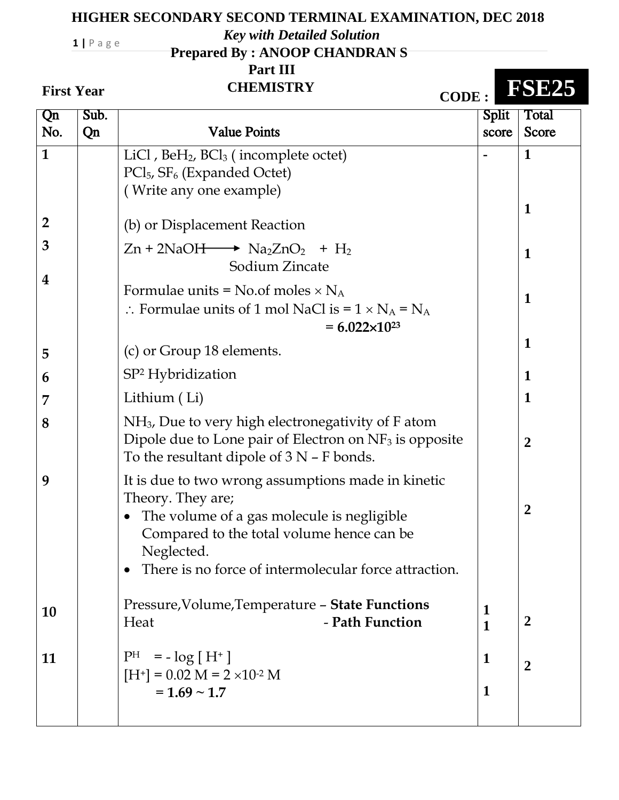## **HIGHER SECONDARY SECOND TERMINAL EXAMINATION, DEC 2018**

*Key with Detailed Solution*

 **Prepared By : ANOOP CHANDRAN S**

 **Part III**

## **First Year**

**1 |** P a g e

**First Year CHEMISTRY CODE : FSE25**

| Qn                  | Sub. |                                                                                                                                                                                                                                                        | <b>Split</b>     | Total            |
|---------------------|------|--------------------------------------------------------------------------------------------------------------------------------------------------------------------------------------------------------------------------------------------------------|------------------|------------------|
| No.                 | Qn   | <b>Value Points</b>                                                                                                                                                                                                                                    | score            | <b>Score</b>     |
| $\mathbf{1}$        |      | LiCl, $BeH_2$ , $BCI_3$ (incomplete octet)<br>PCl <sub>5</sub> , SF <sub>6</sub> (Expanded Octet)                                                                                                                                                      |                  | 1                |
| $\overline{2}$<br>3 |      | (Write any one example)<br>(b) or Displacement Reaction<br>$Zn + 2NaOH \longrightarrow Na2ZnO2 + H2$                                                                                                                                                   |                  | 1                |
| 4                   |      | Sodium Zincate<br>Formulae units = $No.$ of moles $\times N_A$                                                                                                                                                                                         |                  | 1                |
|                     |      | $\therefore$ Formulae units of 1 mol NaCl is = 1 $\times$ N <sub>A</sub> = N <sub>A</sub> .<br>$= 6.022 \times 10^{23}$                                                                                                                                |                  | $\mathbf 1$      |
| 5                   |      | (c) or Group 18 elements.                                                                                                                                                                                                                              |                  | 1                |
| 6                   |      | $SP2$ Hybridization                                                                                                                                                                                                                                    |                  | $\mathbf 1$      |
| 7                   |      | Lithium (Li)                                                                                                                                                                                                                                           |                  | 1                |
| 8                   |      | $NH3$ , Due to very high electronegativity of F atom<br>Dipole due to Lone pair of Electron on $NF_3$ is opposite<br>To the resultant dipole of $3 N - F$ bonds.                                                                                       |                  | $\boldsymbol{2}$ |
| 9                   |      | It is due to two wrong assumptions made in kinetic<br>Theory. They are;<br>The volume of a gas molecule is negligible<br>$\bullet$<br>Compared to the total volume hence can be<br>Neglected.<br>There is no force of intermolecular force attraction. |                  | $\boldsymbol{2}$ |
| <b>10</b>           |      | Pressure, Volume, Temperature - State Functions<br>- Path Function<br>Heat                                                                                                                                                                             | $\mathbf 1$<br>1 | $\boldsymbol{2}$ |
| 11                  |      | $= -\log [H^+]$<br>$\rm{P}^{\rm{H}}$<br>$[H^+] = 0.02 M = 2 \times 10^{2} M$<br>$= 1.69 \sim 1.7$                                                                                                                                                      | 1<br>1           | $\overline{2}$   |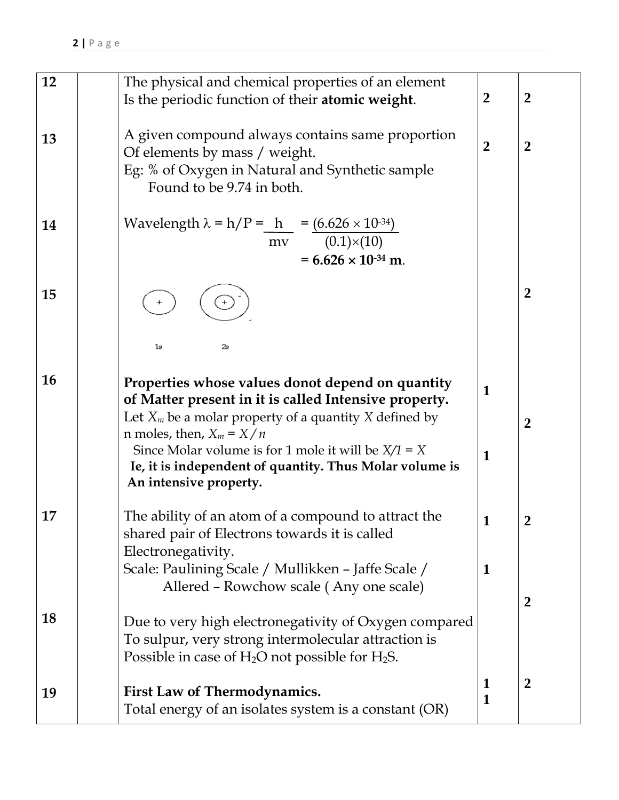| 12        | The physical and chemical properties of an element<br>Is the periodic function of their atomic weight.                                                                                                                                                                                                                                            | $\boldsymbol{2}$  | $\boldsymbol{2}$      |
|-----------|---------------------------------------------------------------------------------------------------------------------------------------------------------------------------------------------------------------------------------------------------------------------------------------------------------------------------------------------------|-------------------|-----------------------|
| 13        | A given compound always contains same proportion<br>Of elements by mass / weight.<br>Eg: % of Oxygen in Natural and Synthetic sample<br>Found to be 9.74 in both.                                                                                                                                                                                 | $\overline{2}$    | $\overline{2}$        |
| 14        | Wavelength $\lambda = h/P = \frac{h}{mv} = \frac{(6.626 \times 10^{-34})}{(0.1) \times (10)}$<br>$= 6.626 \times 10^{-34}$ m.                                                                                                                                                                                                                     |                   |                       |
| 15        | 1s<br>2s                                                                                                                                                                                                                                                                                                                                          |                   | $\boldsymbol{2}$      |
| <b>16</b> | Properties whose values donot depend on quantity<br>of Matter present in it is called Intensive property.<br>Let $X_m$ be a molar property of a quantity X defined by<br>n moles, then, $X_m = X/n$<br>Since Molar volume is for 1 mole it will be $X/1 = X$<br>Ie, it is independent of quantity. Thus Molar volume is<br>An intensive property. | $\mathbf{1}$<br>1 | $\boldsymbol{2}$      |
| 17        | The ability of an atom of a compound to attract the<br>shared pair of Electrons towards it is called<br>Electronegativity.<br>Scale: Paulining Scale / Mullikken - Jaffe Scale /<br>Allered - Rowchow scale (Any one scale)                                                                                                                       | $\mathbf{1}$<br>1 | 2<br>$\boldsymbol{2}$ |
| 18        | Due to very high electronegativity of Oxygen compared<br>To sulpur, very strong intermolecular attraction is<br>Possible in case of $H_2O$ not possible for $H_2S$ .                                                                                                                                                                              |                   |                       |
| 19        | First Law of Thermodynamics.<br>Total energy of an isolates system is a constant (OR)                                                                                                                                                                                                                                                             | 1<br>1            | $\boldsymbol{2}$      |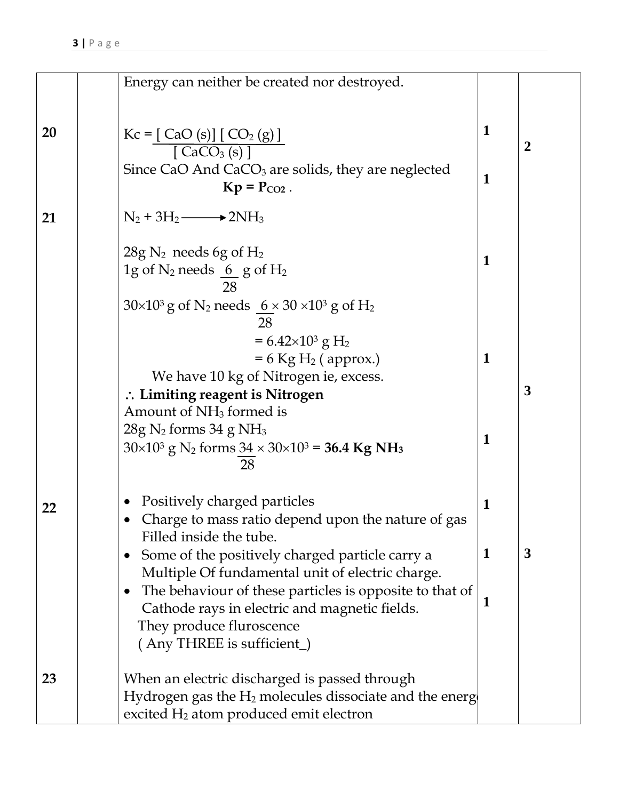|    | Energy can neither be created nor destroyed.                                                                                                                                                            |                             |                  |
|----|---------------------------------------------------------------------------------------------------------------------------------------------------------------------------------------------------------|-----------------------------|------------------|
|    |                                                                                                                                                                                                         |                             |                  |
| 20 | $Kc = [ CaO (s)] [ CO2 (g)]$<br>$\sqrt{CaCO3(s) + c}$<br>Since CaO And CaCO <sub>3</sub> are solids, they are neglected<br>$Kp = P_{CO2}$ .                                                             | $\mathbf 1$<br>$\mathbf{1}$ | $\boldsymbol{2}$ |
|    |                                                                                                                                                                                                         |                             |                  |
| 21 | $N_2 + 3H_2 \longrightarrow 2NH_3$                                                                                                                                                                      |                             |                  |
|    | $28g$ N <sub>2</sub> needs 6g of H <sub>2</sub><br>1g of $N_2$ needs $66$ g of $H_2$<br>28                                                                                                              | $\mathbf{1}$                |                  |
|    | $30\times10^3$ g of N <sub>2</sub> needs <u>6</u> × 30 × 10 <sup>3</sup> g of H <sub>2</sub><br>28                                                                                                      |                             |                  |
|    | $= 6.42 \times 10^3$ g H <sub>2</sub><br>$= 6$ Kg H <sub>2</sub> (approx.)<br>We have 10 kg of Nitrogen ie, excess.<br>$\therefore$ Limiting reagent is Nitrogen<br>Amount of NH <sub>3</sub> formed is | 1                           | 3                |
|    | $28g$ N <sub>2</sub> forms 34 g NH <sub>3</sub><br>$30\times10^3$ g N <sub>2</sub> forms $34 \times 30\times10^3 = 36.4$ Kg NH <sub>3</sub><br>28                                                       | 1                           |                  |
| 22 | Positively charged particles<br>Charge to mass ratio depend upon the nature of gas<br>Filled inside the tube.                                                                                           | 1                           |                  |
|    | Some of the positively charged particle carry a<br>$\bullet$<br>Multiple Of fundamental unit of electric charge.                                                                                        | $\mathbf 1$                 | 3                |
|    | The behaviour of these particles is opposite to that of<br>$\bullet$<br>Cathode rays in electric and magnetic fields.<br>They produce fluroscence<br>(Any THREE is sufficient_)                         | $\mathbf 1$                 |                  |
| 23 | When an electric discharged is passed through<br>Hydrogen gas the $H_2$ molecules dissociate and the energ<br>excited H <sub>2</sub> atom produced emit electron                                        |                             |                  |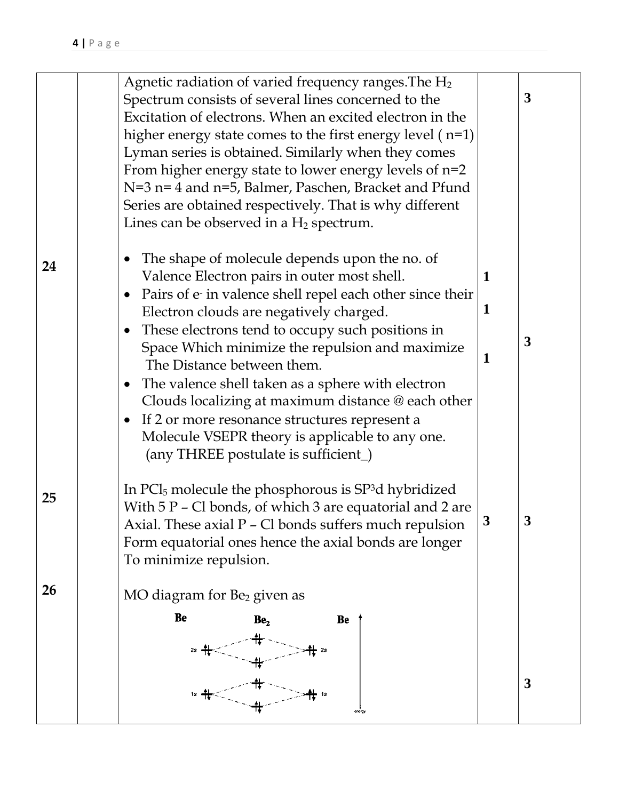|    | Agnetic radiation of varied frequency ranges. The $H_2$<br>Spectrum consists of several lines concerned to the<br>Excitation of electrons. When an excited electron in the<br>higher energy state comes to the first energy level $(n=1)$<br>Lyman series is obtained. Similarly when they comes<br>From higher energy state to lower energy levels of $n=2$<br>N=3 n= 4 and n=5, Balmer, Paschen, Bracket and Pfund<br>Series are obtained respectively. That is why different<br>Lines can be observed in a $H_2$ spectrum.                                                                                                              |             | 3            |
|----|--------------------------------------------------------------------------------------------------------------------------------------------------------------------------------------------------------------------------------------------------------------------------------------------------------------------------------------------------------------------------------------------------------------------------------------------------------------------------------------------------------------------------------------------------------------------------------------------------------------------------------------------|-------------|--------------|
| 24 | The shape of molecule depends upon the no. of<br>$\bullet$<br>Valence Electron pairs in outer most shell.<br>Pairs of e in valence shell repel each other since their<br>$\bullet$<br>Electron clouds are negatively charged.<br>These electrons tend to occupy such positions in<br>$\bullet$<br>Space Which minimize the repulsion and maximize<br>The Distance between them.<br>• The valence shell taken as a sphere with electron<br>Clouds localizing at maximum distance @ each other<br>• If 2 or more resonance structures represent a<br>Molecule VSEPR theory is applicable to any one.<br>(any THREE postulate is sufficient_) | 1<br>1<br>1 | 3            |
| 25 | In $\text{PCl}_5$ molecule the phosphorous is $\text{SP}^3$ d hybridized<br>With $5P - Cl$ bonds, of which 3 are equatorial and 2 are<br>Axial. These axial P - Cl bonds suffers much repulsion<br>Form equatorial ones hence the axial bonds are longer<br>To minimize repulsion.                                                                                                                                                                                                                                                                                                                                                         | 3           | $\mathbf{3}$ |
| 26 | MO diagram for Be <sub>2</sub> given as                                                                                                                                                                                                                                                                                                                                                                                                                                                                                                                                                                                                    |             |              |
|    | <b>Be</b><br>Be <sub>2</sub><br>Be                                                                                                                                                                                                                                                                                                                                                                                                                                                                                                                                                                                                         |             |              |
|    | energy                                                                                                                                                                                                                                                                                                                                                                                                                                                                                                                                                                                                                                     |             | 3            |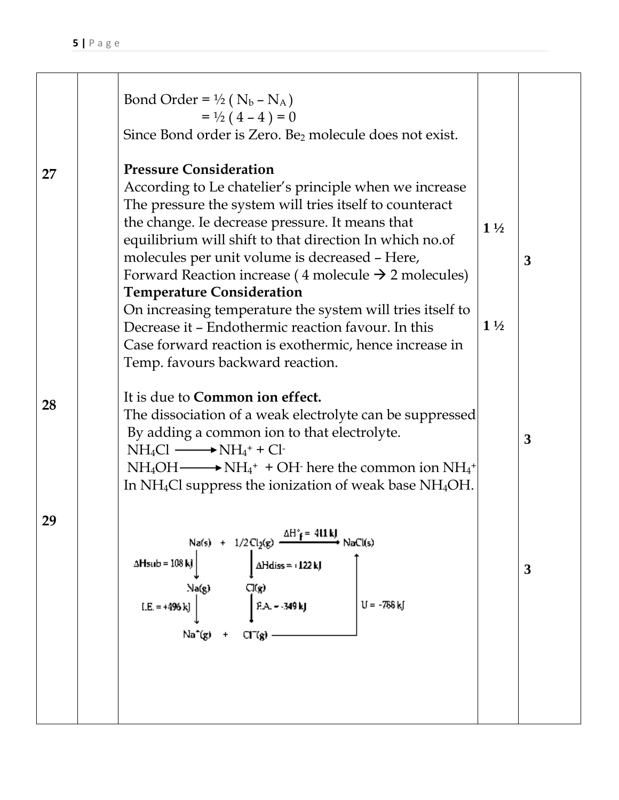|    | Bond Order = $\frac{1}{2}$ ( N <sub>b</sub> – N <sub>A</sub> )<br>$=$ 1/2 (4 – 4) = 0<br>Since Bond order is Zero. Be <sub>2</sub> molecule does not exist.                                                                                                                                                                                                                                                                                                                                                                                                                                                                                 |                                  |                |
|----|---------------------------------------------------------------------------------------------------------------------------------------------------------------------------------------------------------------------------------------------------------------------------------------------------------------------------------------------------------------------------------------------------------------------------------------------------------------------------------------------------------------------------------------------------------------------------------------------------------------------------------------------|----------------------------------|----------------|
| 27 | <b>Pressure Consideration</b><br>According to Le chatelier's principle when we increase<br>The pressure the system will tries itself to counteract<br>the change. Ie decrease pressure. It means that<br>equilibrium will shift to that direction In which no.of<br>molecules per unit volume is decreased - Here,<br>Forward Reaction increase (4 molecule $\rightarrow$ 2 molecules)<br><b>Temperature Consideration</b><br>On increasing temperature the system will tries itself to<br>Decrease it - Endothermic reaction favour. In this<br>Case forward reaction is exothermic, hence increase in<br>Temp. favours backward reaction. | $1\frac{1}{2}$<br>$1\frac{1}{2}$ | $\overline{3}$ |
| 28 | It is due to <b>Common</b> ion effect.<br>The dissociation of a weak electrolyte can be suppressed<br>By adding a common ion to that electrolyte.<br>$NH_4Cl \longrightarrow NH_4^+ + Cl$<br>$NH_4OH \longrightarrow NH_4^+ + OH$ here the common ion $NH_4^+$<br>In $NH_4Cl$ suppress the ionization of weak base $NH_4OH$ .                                                                                                                                                                                                                                                                                                               |                                  | $\mathbf{3}$   |
| 29 | Na(s) + $1/2$ Cl <sub>2</sub> (g) $\frac{\Delta H^* f = 411 \text{ kJ}}{2}$ NaCl(s)<br>$\Delta$ Hsub = $108$ kJ<br>$\Delta$ Hdiss = +122 kJ<br>Cl(g)<br>Na(g)<br>$F.A. - 349 kJ$<br>$U = -756$ kJ<br>$[.E. = +496 k]$<br>$\text{Na}^*(g)$ + $\text{Cl}^*(g)$ -                                                                                                                                                                                                                                                                                                                                                                              |                                  | 3              |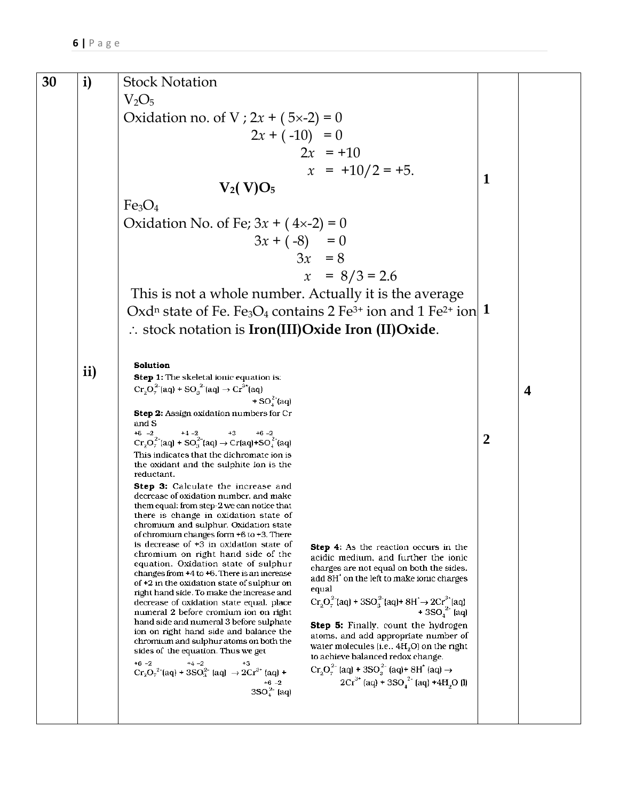| 30 | i)            | <b>Stock Notation</b>                                                                                                                                                                                                                                                                                              |                  |                         |
|----|---------------|--------------------------------------------------------------------------------------------------------------------------------------------------------------------------------------------------------------------------------------------------------------------------------------------------------------------|------------------|-------------------------|
|    |               | $V_2O_5$                                                                                                                                                                                                                                                                                                           |                  |                         |
|    |               | Oxidation no. of V; $2x + (5x-2) = 0$                                                                                                                                                                                                                                                                              |                  |                         |
|    |               | $2x + (-10) = 0$                                                                                                                                                                                                                                                                                                   |                  |                         |
|    |               | $2x = +10$                                                                                                                                                                                                                                                                                                         |                  |                         |
|    |               | $x = +10/2 = +5.$                                                                                                                                                                                                                                                                                                  |                  |                         |
|    |               | $V_2(V)O_5$                                                                                                                                                                                                                                                                                                        | 1                |                         |
|    |               | Fe <sub>3</sub> O <sub>4</sub>                                                                                                                                                                                                                                                                                     |                  |                         |
|    |               | Oxidation No. of Fe; $3x + (4x-2) = 0$                                                                                                                                                                                                                                                                             |                  |                         |
|    |               | $3x + (-8) = 0$                                                                                                                                                                                                                                                                                                    |                  |                         |
|    |               | $3x = 8$                                                                                                                                                                                                                                                                                                           |                  |                         |
|    |               | $x = 8/3 = 2.6$                                                                                                                                                                                                                                                                                                    |                  |                         |
|    |               | This is not a whole number. Actually it is the average                                                                                                                                                                                                                                                             |                  |                         |
|    |               | Oxd <sup>n</sup> state of Fe. Fe <sub>3</sub> O <sub>4</sub> contains 2 Fe <sup>3+</sup> ion and 1 Fe <sup>2+</sup> ion 1                                                                                                                                                                                          |                  |                         |
|    |               | $\therefore$ stock notation is Iron(III) Oxide Iron (II) Oxide.                                                                                                                                                                                                                                                    |                  |                         |
|    |               |                                                                                                                                                                                                                                                                                                                    |                  |                         |
|    | $\mathbf{ii}$ | Solution                                                                                                                                                                                                                                                                                                           |                  |                         |
|    |               | <b>Step 1:</b> The skeletal ionic equation is:<br>$Cr_2O_7^{2-}$ (aq) + SO <sub>3</sub> <sup>2-</sup> (aq) $\rightarrow Cr^{3+}$ (aq)                                                                                                                                                                              |                  | $\overline{\mathbf{4}}$ |
|    |               | + $SO_4^2$ (aq)                                                                                                                                                                                                                                                                                                    |                  |                         |
|    |               | Step 2: Assign oxidation numbers for Cr<br>and S                                                                                                                                                                                                                                                                   |                  |                         |
|    |               | +6 -2<br>+4 -2<br>+3 +6 -2<br>Cr_2^2^-^{aq] + SO_3^2^{2^{aq] -> Cr_{aq] +<br>SO_4^2^{aq] + SO_3^{3^{aq] -> Cr_{aq] +<br>SO_4^{2^{aq] + SO_3^{3^{aq] -> Cr_{aq] + SO_4^{2^{aq] + SO_4^{aq] + SO_4^{aq] + SO_4^{aq] + SO_4^{aq] + SO_4^{aq]                                                                          | $\boldsymbol{2}$ |                         |
|    |               | This indicates that the dichromate ion is                                                                                                                                                                                                                                                                          |                  |                         |
|    |               | the oxidant and the sulphite ion is the<br>reductant.                                                                                                                                                                                                                                                              |                  |                         |
|    |               | <b>Step 3:</b> Calculate the increase and<br>decrease of oxidation number, and make                                                                                                                                                                                                                                |                  |                         |
|    |               | them equal: from step-2 we can notice that<br>there is change in oxidation state of                                                                                                                                                                                                                                |                  |                         |
|    |               | chromium and sulphur. Oxidation state                                                                                                                                                                                                                                                                              |                  |                         |
|    |               | of chromium changes form +6 to +3. There<br>is decrease of +3 in oxidation state of<br>Step 4: As the reaction occurs in the                                                                                                                                                                                       |                  |                         |
|    |               | chromium on right hand side of the<br>acidic medium, and further the ionic<br>equation. Oxidation state of sulphur                                                                                                                                                                                                 |                  |                         |
|    |               | charges are not equal on both the sides.<br>changes from +4 to +6. There is an increase<br>add 8H <sup>*</sup> on the left to make ionic charges<br>of +2 in the oxidation state of sulphur on                                                                                                                     |                  |                         |
|    |               | equal<br>right hand side. To make the increase and                                                                                                                                                                                                                                                                 |                  |                         |
|    |               | $\begin{array}{l} \mathbf{Cr}_2\mathbf{O}_7^{2-}[\mathbf{aq}] + 3\mathbf{SO}_3^{2-}[\mathbf{aq}] + 8\mathbf{H} \rightarrow 2\mathbf{Cr}^3\text{-}[\mathbf{aq}] \\qquad \qquad + 3\mathbf{SO}_4^{2-}[\mathbf{aq}] \end{array}$<br>decrease of oxidation state equal. place<br>numeral 2 before cromium ion on right |                  |                         |
|    |               | hand side and numeral 3 before sulphate<br>Step 5: Finally, count the hydrogen<br>ion on right hand side and balance the<br>atoms, and add appropriate number of                                                                                                                                                   |                  |                         |
|    |               | chromium and sulphur atoms on both the<br>water molecules (i.e., $4H2O$ ) on the right<br>sides of the equation. Thus we get                                                                                                                                                                                       |                  |                         |
|    |               | to achieve balanced redox change.<br>$+6 - 2$<br>$+4 -2$<br>$C_{T_2}C_7^{2-}$ [aq) + 3SO <sub>3</sub> <sup>2</sup> [aq] $\rightarrow$ 2Cr <sup>3+</sup> [aq] +<br>$Cr_2O_7^{2-}$ (aq) + 3SO <sub>3</sub> <sup>2</sup> (aq)+ 8H <sup>+</sup> (aq) $\rightarrow$                                                     |                  |                         |
|    |               | $2Cr3+$ (aq) + 3SO <sub>1</sub> <sup>2</sup> [aq] +4H <sub>2</sub> O [l]                                                                                                                                                                                                                                           |                  |                         |
|    |               | $3SO_{+}^{2-}$ [aq]                                                                                                                                                                                                                                                                                                |                  |                         |
|    |               |                                                                                                                                                                                                                                                                                                                    |                  |                         |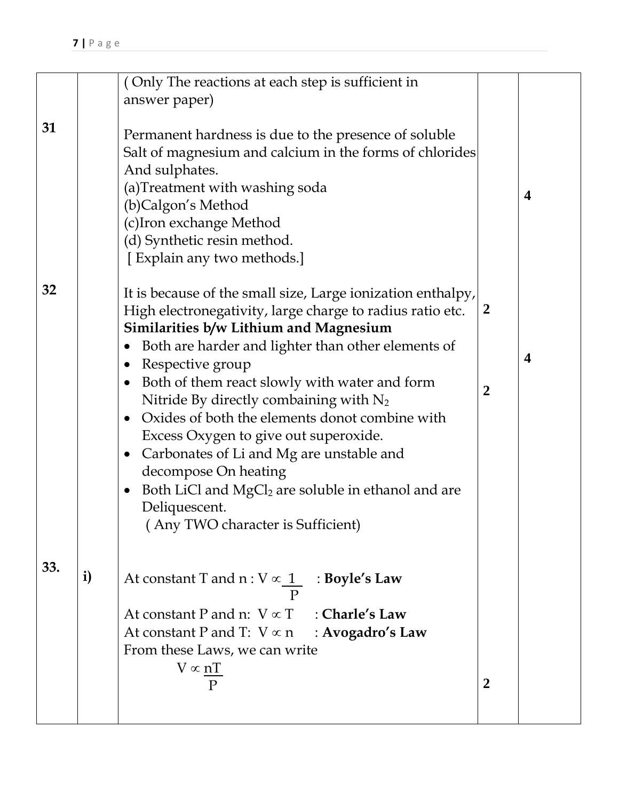|     |              | (Only The reactions at each step is sufficient in<br>answer paper)                                                                                                                                                                                                                                                                                                                                                                                                                                                                                                                                                                                                                       |                                  |                         |
|-----|--------------|------------------------------------------------------------------------------------------------------------------------------------------------------------------------------------------------------------------------------------------------------------------------------------------------------------------------------------------------------------------------------------------------------------------------------------------------------------------------------------------------------------------------------------------------------------------------------------------------------------------------------------------------------------------------------------------|----------------------------------|-------------------------|
| 31  |              | Permanent hardness is due to the presence of soluble<br>Salt of magnesium and calcium in the forms of chlorides<br>And sulphates.<br>(a)Treatment with washing soda<br>(b)Calgon's Method<br>(c)Iron exchange Method<br>(d) Synthetic resin method.<br>[Explain any two methods.]                                                                                                                                                                                                                                                                                                                                                                                                        |                                  | $\overline{\mathbf{4}}$ |
| 32  |              | It is because of the small size, Large ionization enthalpy,<br>High electronegativity, large charge to radius ratio etc.<br>Similarities b/w Lithium and Magnesium<br>Both are harder and lighter than other elements of<br>Respective group<br>$\bullet$<br>Both of them react slowly with water and form<br>$\bullet$<br>Nitride By directly combaining with $N_2$<br>Oxides of both the elements donot combine with<br>$\bullet$<br>Excess Oxygen to give out superoxide.<br>Carbonates of Li and Mg are unstable and<br>$\bullet$<br>decompose On heating<br>Both LiCl and $MgCl2$ are soluble in ethanol and are<br>$\bullet$<br>Deliquescent.<br>(Any TWO character is Sufficient) | $\overline{2}$<br>$\overline{2}$ | 4                       |
| 33. | $\mathbf{i}$ | At constant T and $n: V \propto \underline{1}$ : Boyle's Law<br>At constant P and n: $V \propto T$ : Charle's Law<br>At constant P and T: $V \propto n$ : <b>Avogadro's Law</b><br>From these Laws, we can write<br>$V \propto \underline{nT}$                                                                                                                                                                                                                                                                                                                                                                                                                                           | $\overline{2}$                   |                         |
|     |              |                                                                                                                                                                                                                                                                                                                                                                                                                                                                                                                                                                                                                                                                                          |                                  |                         |